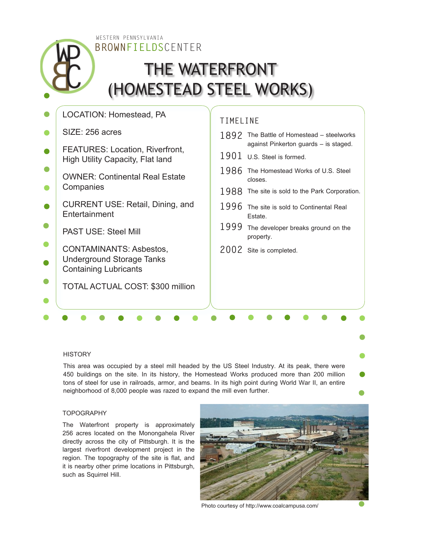**BROWNFIELDS**CENTER WESTERN PENNSYLVANIA

# THE WATERFRONT (HOMESTEAD STEEL WORKS)

| LOCATION: Homestead, PA                                                                     | TIMELINE |                                                                |
|---------------------------------------------------------------------------------------------|----------|----------------------------------------------------------------|
| SIZE: 256 acres                                                                             | 1892     | The Battle of Homestead - steelworks                           |
| <b>FEATURES: Location, Riverfront,</b><br><b>High Utility Capacity, Flat land</b>           | 1901     | against Pinkerton guards - is staged.<br>U.S. Steel is formed. |
| <b>OWNER: Continental Real Estate</b>                                                       | 1986     | The Homestead Works of U.S. Steel<br>closes.                   |
| Companies                                                                                   |          | 1988 The site is sold to the Park Corporation.                 |
| <b>CURRENT USE: Retail, Dining, and</b><br>Entertainment                                    | 1996     | The site is sold to Continental Real<br>Estate.                |
| <b>PAST USE: Steel Mill</b>                                                                 | 1999     | The developer breaks ground on the<br>property.                |
| <b>CONTAMINANTS: Asbestos,</b><br>Underground Storage Tanks<br><b>Containing Lubricants</b> |          | 2002 Site is completed.                                        |
| <b>TOTAL ACTUAL COST: \$300 million</b>                                                     |          |                                                                |
|                                                                                             |          |                                                                |

### **HISTORY**

This area was occupied by a steel mill headed by the US Steel Industry. At its peak, there were 450 buildings on the site. In its history, the Homestead Works produced more than 200 million tons of steel for use in railroads, armor, and beams. In its high point during World War II, an entire neighborhood of 8,000 people was razed to expand the mill even further.

# **TOPOGRAPHY**

The Waterfront property is approximately 256 acres located on the Monongahela River directly across the city of Pittsburgh. It is the largest riverfront development project in the region. The topography of the site is flat, and it is nearby other prime locations in Pittsburgh, such as Squirrel Hill.



Photo courtesy of http://www.coalcampusa.com/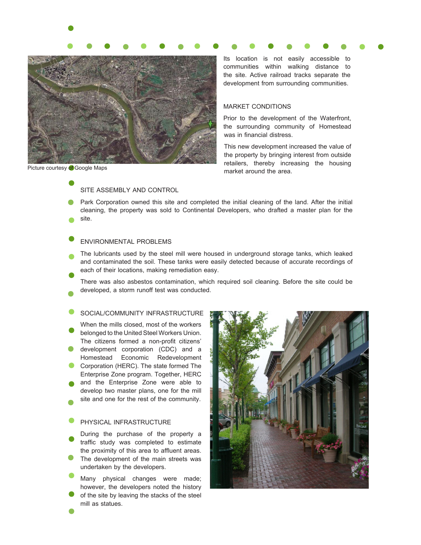

Its location is not easily accessible to communities within walking distance to the site. Active railroad tracks separate the development from surrounding communities.

## MARKET CONDITIONS

Prior to the development of the Waterfront, the surrounding community of Homestead was in financial distress.

This new development increased the value of the property by bringing interest from outside retailers, thereby increasing the housing Picture courtesy of Google Maps<br>
market around the area.

SITE ASSEMBLY AND CONTROL

Park Corporation owned this site and completed the initial cleaning of the land. After the initial cleaning, the property was sold to Continental Developers, who drafted a master plan for the site.

### ENVIRONMENTAL PROBLEMS

- The lubricants used by the steel mill were housed in underground storage tanks, which leaked and contaminated the soil. These tanks were easily detected because of accurate recordings of each of their locations, making remediation easy.
- There was also asbestos contamination, which required soil cleaning. Before the site could be developed, a storm runoff test was conducted.
- SOCIAL/COMMUNITY INFRASTRUCTURE
- When the mills closed, most of the workers belonged to the United Steel Workers Union. The citizens formed a non-profit citizens' development corporation (CDC) and a
- Homestead Economic Redevelopment Corporation (HERC). The state formed The Enterprise Zone program. Together, HERC
- and the Enterprise Zone were able to develop two master plans, one for the mill site and one for the rest of the community.
- 

# PHYSICAL INFRASTRUCTURE

- During the purchase of the property a traffic study was completed to estimate the proximity of this area to affluent areas. The development of the main streets was undertaken by the developers.
- Many physical changes were made; however, the developers noted the history of the site by leaving the stacks of the steel mill as statues.